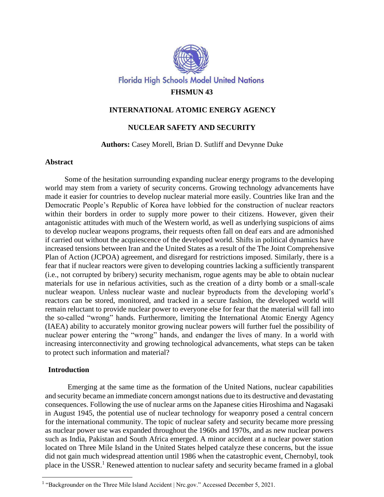

# **INTERNATIONAL ATOMIC ENERGY AGENCY**

# **NUCLEAR SAFETY AND SECURITY**

## **Authors:** Casey Morell, Brian D. Sutliff and Devynne Duke

## **Abstract**

Some of the hesitation surrounding expanding nuclear energy programs to the developing world may stem from a variety of security concerns. Growing technology advancements have made it easier for countries to develop nuclear material more easily. Countries like Iran and the Democratic People's Republic of Korea have lobbied for the construction of nuclear reactors within their borders in order to supply more power to their citizens. However, given their antagonistic attitudes with much of the Western world, as well as underlying suspicions of aims to develop nuclear weapons programs, their requests often fall on deaf ears and are admonished if carried out without the acquiescence of the developed world. Shifts in political dynamics have increased tensions between Iran and the United States as a result of the The Joint Comprehensive Plan of Action (JCPOA) agreement, and disregard for restrictions imposed. Similarly, there is a fear that if nuclear reactors were given to developing countries lacking a sufficiently transparent (i.e., not corrupted by bribery) security mechanism, rogue agents may be able to obtain nuclear materials for use in nefarious activities, such as the creation of a dirty bomb or a small-scale nuclear weapon. Unless nuclear waste and nuclear byproducts from the developing world's reactors can be stored, monitored, and tracked in a secure fashion, the developed world will remain reluctant to provide nuclear power to everyone else for fear that the material will fall into the so-called "wrong" hands. Furthermore, limiting the International Atomic Energy Agency (IAEA) ability to accurately monitor growing nuclear powers will further fuel the possibility of nuclear power entering the "wrong" hands, and endanger the lives of many. In a world with increasing interconnectivity and growing technological advancements, what steps can be taken to protect such information and material?

### **Introduction**

Emerging at the same time as the formation of the United Nations, nuclear capabilities and security became an immediate concern amongst nations due to its destructive and devastating consequences. Following the use of nuclear arms on the Japanese cities Hiroshima and Nagasaki in August 1945, the potential use of nuclear technology for weaponry posed a central concern for the international community. The topic of nuclear safety and security became more pressing as nuclear power use was expanded throughout the 1960s and 1970s, and as new nuclear powers such as India, Pakistan and South Africa emerged. A minor accident at a nuclear power station located on Three Mile Island in the United States helped catalyze these concerns, but the issue did not gain much widespread attention until 1986 when the catastrophic event, Chernobyl, took place in the USSR.<sup>1</sup> Renewed attention to nuclear safety and security became framed in a global

<sup>&</sup>lt;sup>1</sup> "Backgrounder on the Three Mile Island Accident | Nrc.gov." Accessed December 5, 2021.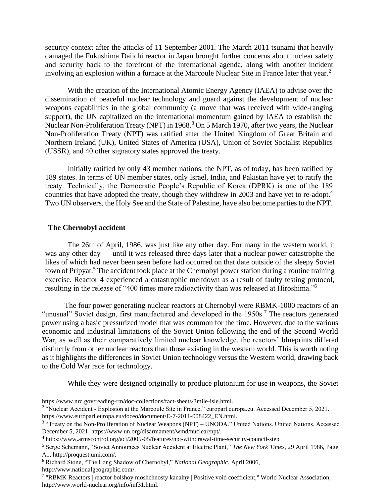security context after the attacks of 11 September 2001. The March 2011 tsunami that heavily damaged the Fukushima Daiichi reactor in Japan brought further concerns about nuclear safety and security back to the forefront of the international agenda, along with another incident involving an explosion within a furnace at the Marcoule Nuclear Site in France later that year.<sup>2</sup>

With the creation of the International Atomic Energy Agency (IAEA) to advise over the dissemination of peaceful nuclear technology and guard against the development of nuclear weapons capabilities in the global community (a move that was received with wide-ranging support), the UN capitalized on the international momentum gained by IAEA to establish the Nuclear Non-Proliferation Treaty (NPT) in 1968.<sup>3</sup> On 5 March 1970, after two years, the Nuclear Non-Proliferation Treaty (NPT) was ratified after the United Kingdom of Great Britain and Northern Ireland (UK), United States of America (USA), Union of Soviet Socialist Republics (USSR), and 40 other signatory states approved the treaty.

Initially ratified by only 43 member nations, the NPT, as of today, has been ratified by 189 states. In terms of UN member states, only Israel, India, and Pakistan have yet to ratify the treaty. Technically, the Democratic People's Republic of Korea (DPRK) is one of the 189 countries that have adopted the treaty, though they withdrew in 2003 and have yet to re-adopt.<sup>4</sup> Two UN observers, the Holy See and the State of Palestine, have also become parties to the NPT.

## **The Chernobyl accident**

The 26th of April, 1986, was just like any other day. For many in the western world, it was any other day — until it was released three days later that a nuclear power catastrophe the likes of which had never been seen before had occurred on that date outside of the sleepy Soviet town of Pripyat.<sup>5</sup> The accident took place at the Chernobyl power station during a routine training exercise. Reactor 4 experienced a catastrophic meltdown as a result of faulty testing protocol, resulting in the release of "400 times more radioactivity than was released at Hiroshima."<sup>6</sup>

The four power generating nuclear reactors at Chernobyl were RBMK-1000 reactors of an "unusual" Soviet design, first manufactured and developed in the  $1950s$ .<sup>7</sup> The reactors generated power using a basic pressurized model that was common for the time. However, due to the various economic and industrial limitations of the Soviet Union following the end of the Second World War, as well as their comparatively limited nuclear knowledge, the reactors' blueprints differed distinctly from other nuclear reactors than those existing in the western world. This is worth noting as it highlights the differences in Soviet Union technology versus the Western world, drawing back to the Cold War race for technology.

While they were designed originally to produce plutonium for use in weapons, the Soviet

https://www.nrc.gov/reading-rm/doc-collections/fact-sheets/3mile-isle.html.

<sup>&</sup>lt;sup>2</sup> "Nuclear Accident - Explosion at the Marcoule Site in France." europarl.europa.eu. Accessed December 5, 2021. https://www.europarl.europa.eu/doceo/document/E-7-2011-008422\_EN.html.

<sup>&</sup>lt;sup>3</sup> "Treaty on the Non-Proliferation of Nuclear Weapons (NPT) – UNODA." United Nations. United Nations. Accessed

December 5, 2021. https://www.un.org/disarmament/wmd/nuclear/npt/.

<sup>4</sup> https://www.armscontrol.org/act/2005-05/features/npt-withdrawal-time-security-council-step

<sup>5</sup> Serge Schemann, "Soviet Announces Nuclear Accident at Electric Plant," *The New York Times*, 29 April 1986, Page A1,<http://proquest.umi.com/>.

<sup>6</sup> Richard Stone, "The Long Shadow of Chernobyl," *National Geographic*, April 2006, <http://www.nationalgeographic.com/>.

<sup>&</sup>lt;sup>7</sup> "RBMK Reactors | reactor bolshoy moshchnosty kanalny | Positive void coefficient," World Nuclear Association, [http://www.world-nuclear.org/info/inf31.html.](http://www.world-nuclear.org/info/inf31.html)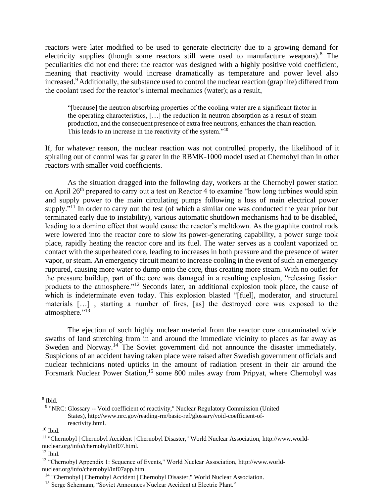reactors were later modified to be used to generate electricity due to a growing demand for electricity supplies (though some reactors still were used to manufacture weapons).<sup>8</sup> The peculiarities did not end there: the reactor was designed with a highly positive void coefficient, meaning that reactivity would increase dramatically as temperature and power level also increased.<sup>9</sup> Additionally, the substance used to control the nuclear reaction (graphite) differed from the coolant used for the reactor's internal mechanics (water); as a result,

"[because] the neutron absorbing properties of the cooling water are a significant factor in the operating characteristics, […] the reduction in neutron absorption as a result of steam production, and the consequent presence of extra free neutrons, enhances the chain reaction. This leads to an increase in the reactivity of the system."<sup>10</sup>

If, for whatever reason, the nuclear reaction was not controlled properly, the likelihood of it spiraling out of control was far greater in the RBMK-1000 model used at Chernobyl than in other reactors with smaller void coefficients.

As the situation dragged into the following day, workers at the Chernobyl power station on April 26<sup>th</sup> prepared to carry out a test on Reactor 4 to examine "how long turbines would spin and supply power to the main circulating pumps following a loss of main electrical power supply."<sup>11</sup> In order to carry out the test (of which a similar one was conducted the year prior but terminated early due to instability), various automatic shutdown mechanisms had to be disabled, leading to a domino effect that would cause the reactor's meltdown. As the graphite control rods were lowered into the reactor core to slow its power-generating capability, a power surge took place, rapidly heating the reactor core and its fuel. The water serves as a coolant vaporized on contact with the superheated core, leading to increases in both pressure and the presence of water vapor, or steam. An emergency circuit meant to increase cooling in the event of such an emergency ruptured, causing more water to dump onto the core, thus creating more steam. With no outlet for the pressure buildup, part of the core was damaged in a resulting explosion, "releasing fission products to the atmosphere."<sup>12</sup> Seconds later, an additional explosion took place, the cause of which is indeterminate even today. This explosion blasted "[fuel], moderator, and structural materials […] , starting a number of fires, [as] the destroyed core was exposed to the atmosphere."<sup>13</sup>

The ejection of such highly nuclear material from the reactor core contaminated wide swaths of land stretching from in and around the immediate vicinity to places as far away as Sweden and Norway.<sup>14</sup> The Soviet government did not announce the disaster immediately. Suspicions of an accident having taken place were raised after Swedish government officials and nuclear technicians noted upticks in the amount of radiation present in their air around the Forsmark Nuclear Power Station,<sup>15</sup> some 800 miles away from Pripyat, where Chernobyl was

8 Ibid.

 $10$  Ibid.

<sup>&</sup>lt;sup>9</sup> "NRC: Glossary -- Void coefficient of reactivity," Nuclear Regulatory Commission (United States), [http://www.nrc.gov/reading-rm/basic-ref/glossary/void-coefficient-of](http://www.nrc.gov/reading-rm/basic-ref/glossary/void-coefficient-of-reactivity.html)[reactivity.html.](http://www.nrc.gov/reading-rm/basic-ref/glossary/void-coefficient-of-reactivity.html)

<sup>&</sup>lt;sup>11</sup> "Chernobyl | Chernobyl Accident | Chernobyl Disaster," World Nuclear Association, [http://www.world](http://www.world-nuclear.org/info/chernobyl/inf07.html)[nuclear.org/info/chernobyl/inf07.html.](http://www.world-nuclear.org/info/chernobyl/inf07.html)

 $12$  Ibid.

<sup>&</sup>lt;sup>13</sup> "Chernobyl Appendix 1: Sequence of Events," World Nuclear Association, [http://www.world](http://www.world-nuclear.org/info/chernobyl/inf07app.htm)[nuclear.org/info/chernobyl/inf07app.htm.](http://www.world-nuclear.org/info/chernobyl/inf07app.htm)

<sup>&</sup>lt;sup>14</sup> "Chernobyl | Chernobyl Accident | Chernobyl Disaster," World Nuclear Association.

<sup>&</sup>lt;sup>15</sup> Serge Schemann, "Soviet Announces Nuclear Accident at Electric Plant."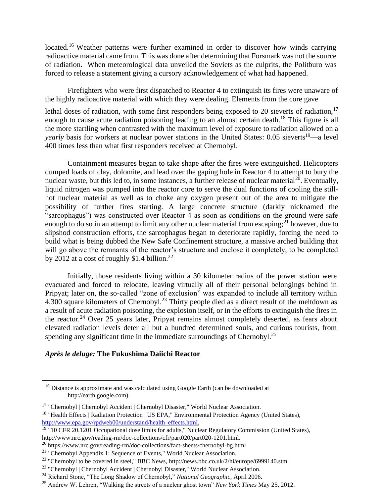located.<sup>16</sup> Weather patterns were further examined in order to discover how winds carrying radioactive material came from. This was done after determining that Forsmark was not the source of radiation. When meteorological data unveiled the Soviets as the culprits, the Politburo was forced to release a statement giving a cursory acknowledgement of what had happened.

Firefighters who were first dispatched to Reactor 4 to extinguish its fires were unaware of the highly radioactive material with which they were dealing. Elements from the core gave

lethal doses of radiation, with some first responders being exposed to 20 sieverts of radiation, $17$ enough to cause acute radiation poisoning leading to an almost certain death.<sup>18</sup> This figure is all the more startling when contrasted with the maximum level of exposure to radiation allowed on a *yearly* basis for workers at nuclear power stations in the United States: 0.05 sieverts<sup>19</sup>—a level 400 times less than what first responders received at Chernobyl.

Containment measures began to take shape after the fires were extinguished. Helicopters dumped loads of clay, dolomite, and lead over the gaping hole in Reactor 4 to attempt to bury the nuclear waste, but this led to, in some instances, a further release of nuclear material<sup>20</sup>. Eventually, liquid nitrogen was pumped into the reactor core to serve the dual functions of cooling the stillhot nuclear material as well as to choke any oxygen present out of the area to mitigate the possibility of further fires starting. A large concrete structure (darkly nicknamed the "sarcophagus") was constructed over Reactor 4 as soon as conditions on the ground were safe enough to do so in an attempt to limit any other nuclear material from escaping; $^{21}$  however, due to slipshod construction efforts, the sarcophagus began to deteriorate rapidly, forcing the need to build what is being dubbed the New Safe Confinement structure, a massive arched building that will go above the remnants of the reactor's structure and enclose it completely, to be completed by 2012 at a cost of roughly \$1.4 billion.<sup>22</sup>

Initially, those residents living within a 30 kilometer radius of the power station were evacuated and forced to relocate, leaving virtually all of their personal belongings behind in Pripyat; later on, the so-called "zone of exclusion" was expanded to include all territory within 4,300 square kilometers of Chernobyl.<sup>23</sup> Thirty people died as a direct result of the meltdown as a result of acute radiation poisoning, the explosion itself, or in the efforts to extinguish the fires in the reactor.<sup>24</sup> Over 25 years later, Pripyat remains almost completely deserted, as fears about elevated radiation levels deter all but a hundred determined souls, and curious tourists, from spending any significant time in the immediate surroundings of Chernobyl.<sup>25</sup>

### *Après le deluge:* **The Fukushima Daiichi Reactor**

<sup>&</sup>lt;sup>16</sup> Distance is approximate and was calculated using Google Earth (can be downloaded at http://earth.google.com).

<sup>&</sup>lt;sup>17</sup> "Chernobyl | Chernobyl Accident | Chernobyl Disaster," World Nuclear Association.

<sup>&</sup>lt;sup>18</sup> "Health Effects | Radiation Protection | US EPA," Environmental Protection Agency (United States), [http://www.epa.gov/rpdweb00/understand/health\\_effects.html.](http://www.epa.gov/rpdweb00/understand/health_effects.html.)

 $19$  "10 CFR 20.1201 Occupational dose limits for adults," Nuclear Regulatory Commission (United States), [http://www.nrc.gov/reading-rm/doc-collections/cfr/part020/part020-1201.html.](http://www.nrc.gov/reading-rm/doc-collections/cfr/part020/part020-1201.html)

<sup>20</sup> https://www.nrc.gov/reading-rm/doc-collections/fact-sheets/chernobyl-bg.html

<sup>&</sup>lt;sup>21</sup> "Chernobyl Appendix 1: Sequence of Events," World Nuclear Association.

<sup>&</sup>lt;sup>22</sup> "Chernobyl to be covered in steel," BBC News,<http://news.bbc.co.uk/2/hi/europe/6999140.stm>

<sup>&</sup>lt;sup>23</sup> "Chernobyl | Chernobyl Accident | Chernobyl Disaster," World Nuclear Association.

<sup>24</sup> Richard Stone, "The Long Shadow of Chernobyl," *National Geographic*, April 2006.

<sup>25</sup> Andrew W. Lehren, "Walking the streets of a nuclear ghost town" *New York Times* May 25, 2012.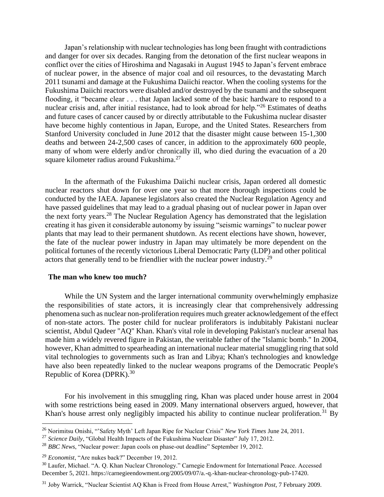Japan's relationship with nuclear technologies has long been fraught with contradictions and danger for over six decades. Ranging from the detonation of the first nuclear weapons in conflict over the cities of Hiroshima and Nagasaki in August 1945 to Japan's fervent embrace of nuclear power, in the absence of major coal and oil resources, to the devastating March 2011 tsunami and damage at the Fukushima Daiichi reactor. When the cooling systems for the Fukushima Daiichi reactors were disabled and/or destroyed by the tsunami and the subsequent flooding, it "became clear . . . that Japan lacked some of the basic hardware to respond to a nuclear crisis and, after initial resistance, had to look abroad for help."<sup>26</sup> Estimates of deaths and future cases of cancer caused by or directly attributable to the Fukushima nuclear disaster have become highly contentious in Japan, Europe, and the United States. Researchers from Stanford University concluded in June 2012 that the disaster might cause between 15-1,300 deaths and between 24-2,500 cases of cancer, in addition to the approximately 600 people, many of whom were elderly and/or chronically ill, who died during the evacuation of a 20 square kilometer radius around Fukushima.<sup>27</sup>

In the aftermath of the Fukushima Daiichi nuclear crisis, Japan ordered all domestic nuclear reactors shut down for over one year so that more thorough inspections could be conducted by the IAEA. Japanese legislators also created the Nuclear Regulation Agency and have passed guidelines that may lead to a gradual phasing out of nuclear power in Japan over the next forty years.<sup>28</sup> The Nuclear Regulation Agency has demonstrated that the legislation creating it has given it considerable autonomy by issuing "seismic warnings" to nuclear power plants that may lead to their permanent shutdown. As recent elections have shown, however, the fate of the nuclear power industry in Japan may ultimately be more dependent on the political fortunes of the recently victorious Liberal Democratic Party (LDP) and other political actors that generally tend to be friendlier with the nuclear power industry.<sup>29</sup>

#### **The man who knew too much?**

While the UN System and the larger international community overwhelmingly emphasize the responsibilities of state actors, it is increasingly clear that comprehensively addressing phenomena such as nuclear non-proliferation requires much greater acknowledgement of the effect of non-state actors. The poster child for nuclear proliferators is indubitably Pakistani nuclear scientist, Abdul Qadeer "AQ" Khan. Khan's vital role in developing Pakistan's nuclear arsenal has made him a widely revered figure in Pakistan, the veritable father of the "Islamic bomb." In 2004, however, Khan admitted to spearheading an international nuclear material smuggling ring that sold vital technologies to governments such as Iran and Libya; Khan's technologies and knowledge have also been repeatedly linked to the nuclear weapons programs of the Democratic People's Republic of Korea (DPRK).<sup>30</sup>

For his involvement in this smuggling ring, Khan was placed under house arrest in 2004 with some restrictions being eased in 2009. Many international observers argued, however, that Khan's house arrest only negligibly impacted his ability to continue nuclear proliferation.<sup>31</sup> By

<sup>26</sup> Norimitsu Onishi, "'Safety Myth' Left Japan Ripe for Nuclear Crisis" *New York Times* June 24, 2011.

<sup>&</sup>lt;sup>27</sup> *Science Daily*, "Global Health Impacts of the Fukushima Nuclear Disaster" July 17, 2012.

<sup>28</sup> *BBC News*, "Nuclear power: Japan cools on phase-out deadline" September 19, 2012.

<sup>29</sup> *Economist*, "Are nukes back?" December 19, 2012.

<sup>30</sup> Laufer, Michael. "A. Q. Khan Nuclear Chronology." Carnegie Endowment for International Peace. Accessed December 5, 2021. https://carnegieendowment.org/2005/09/07/a.-q.-khan-nuclear-chronology-pub-17420.

<sup>31</sup> Joby Warrick, "Nuclear Scientist AQ Khan is Freed from House Arrest," *Washington Post*, 7 February 2009.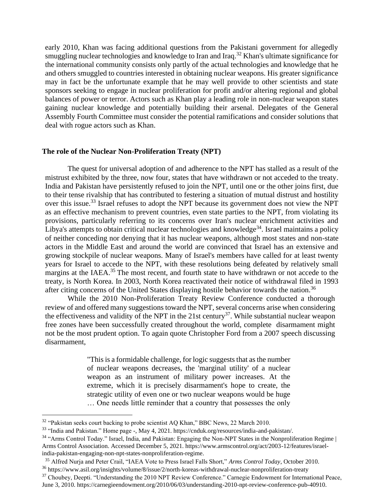early 2010, Khan was facing additional questions from the Pakistani government for allegedly smuggling nuclear technologies and knowledge to Iran and Iraq.<sup>32</sup> Khan's ultimate significance for the international community consists only partly of the actual technologies and knowledge that he and others smuggled to countries interested in obtaining nuclear weapons. His greater significance may in fact be the unfortunate example that he may well provide to other scientists and state sponsors seeking to engage in nuclear proliferation for profit and/or altering regional and global balances of power or terror. Actors such as Khan play a leading role in non-nuclear weapon states gaining nuclear knowledge and potentially building their arsenal. Delegates of the General Assembly Fourth Committee must consider the potential ramifications and consider solutions that deal with rogue actors such as Khan.

#### **The role of the Nuclear Non-Proliferation Treaty (NPT)**

The quest for universal adoption of and adherence to the NPT has stalled as a result of the mistrust exhibited by the three, now four, states that have withdrawn or not acceded to the treaty. India and Pakistan have persistently refused to join the NPT, until one or the other joins first, due to their tense rivalship that has contributed to festering a situation of mutual distrust and hostility over this issue.<sup>33</sup> Israel refuses to adopt the NPT because its government does not view the NPT as an effective mechanism to prevent countries, even state parties to the NPT, from violating its provisions, particularly referring to its concerns over Iran's nuclear enrichment activities and Libya's attempts to obtain critical nuclear technologies and knowledge<sup>34</sup>. Israel maintains a policy of neither conceding nor denying that it has nuclear weapons, although most states and non-state actors in the Middle East and around the world are convinced that Israel has an extensive and growing stockpile of nuclear weapons. Many of Israel's members have called for at least twenty years for Israel to accede to the NPT, with these resolutions being defeated by relatively small margins at the IAEA.<sup>35</sup> The most recent, and fourth state to have withdrawn or not accede to the treaty, is North Korea. In 2003, North Korea reactivated their notice of withdrawal filed in 1993 after citing concerns of the United States displaying hostile behavior towards the nation.<sup>36</sup>

While the 2010 Non-Proliferation Treaty Review Conference conducted a thorough review of and offered many suggestions toward the NPT, several concerns arise when considering the effectiveness and validity of the NPT in the 21st century<sup>37</sup>. While substantial nuclear weapon free zones have been successfully created throughout the world, complete disarmament might not be the most prudent option. To again quote Christopher Ford from a 2007 speech discussing disarmament,

> "This is a formidable challenge, for logic suggests that as the number of nuclear weapons decreases, the 'marginal utility' of a nuclear weapon as an instrument of military power increases. At the extreme, which it is precisely disarmament's hope to create, the strategic utility of even one or two nuclear weapons would be huge … One needs little reminder that a country that possesses the only

 $32$  "Pakistan seeks court backing to probe scientist AQ Khan," BBC News, 22 March 2010.

<sup>33</sup> "India and Pakistan." Home page -, May 4, 2021. https://cnduk.org/resources/india-and-pakistan/.

<sup>&</sup>lt;sup>34</sup> "Arms Control Today." Israel, India, and Pakistan: Engaging the Non-NPT States in the Nonproliferation Regime | Arms Control Association. Accessed December 5, 2021. https://www.armscontrol.org/act/2003-12/features/israelindia-pakistan-engaging-non-npt-states-nonproliferation-regime.

<sup>35</sup> Alfred Nurja and Peter Crail, "IAEA Vote to Press Israel Falls Short," *Arms Control Today*, October 2010.

<sup>36</sup> https://www.asil.org/insights/volume/8/issue/2/north-koreas-withdrawal-nuclear-nonproliferation-treaty

<sup>&</sup>lt;sup>37</sup> Choubey, Deepti. "Understanding the 2010 NPT Review Conference." Carnegie Endowment for International Peace, June 3, 2010. https://carnegieendowment.org/2010/06/03/understanding-2010-npt-review-conference-pub-40910.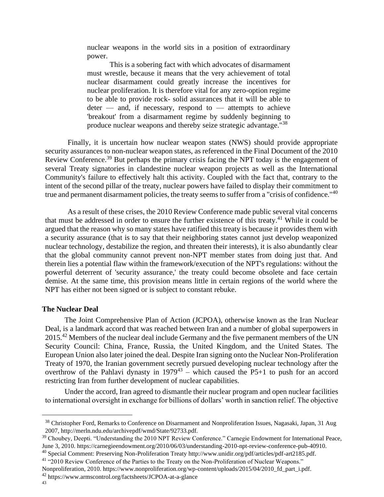nuclear weapons in the world sits in a position of extraordinary power.

This is a sobering fact with which advocates of disarmament must wrestle, because it means that the very achievement of total nuclear disarmament could greatly increase the incentives for nuclear proliferation. It is therefore vital for any zero-option regime to be able to provide rock- solid assurances that it will be able to  $\text{deter}$  — and, if necessary, respond to — attempts to achieve 'breakout' from a disarmament regime by suddenly beginning to produce nuclear weapons and thereby seize strategic advantage."<sup>38</sup>

Finally, it is uncertain how nuclear weapon states (NWS) should provide appropriate security assurances to non-nuclear weapon states, as referenced in the Final Document of the 2010 Review Conference.<sup>39</sup> But perhaps the primary crisis facing the NPT today is the engagement of several Treaty signatories in clandestine nuclear weapon projects as well as the International Community's failure to effectively halt this activity. Coupled with the fact that, contrary to the intent of the second pillar of the treaty, nuclear powers have failed to display their commitment to true and permanent disarmament policies, the treaty seems to suffer from a "crisis of confidence."<sup>40</sup>

As a result of these crises, the 2010 Review Conference made public several vital concerns that must be addressed in order to ensure the further existence of this treaty.<sup>41</sup> While it could be argued that the reason why so many states have ratified this treaty is because it provides them with a security assurance (that is to say that their neighboring states cannot just develop weaponized nuclear technology, destabilize the region, and threaten their interests), it is also abundantly clear that the global community cannot prevent non-NPT member states from doing just that. And therein lies a potential flaw within the framework/execution of the NPT's regulations: without the powerful deterrent of 'security assurance,' the treaty could become obsolete and face certain demise. At the same time, this provision means little in certain regions of the world where the NPT has either not been signed or is subject to constant rebuke.

#### **The Nuclear Deal**

The Joint Comprehensive Plan of Action (JCPOA), otherwise known as the Iran Nuclear Deal, is a landmark accord that was reached between Iran and a number of global superpowers in 2015.<sup>42</sup> Members of the nuclear deal include Germany and the five permanent members of the UN Security Council: China, France, Russia, the United Kingdom, and the United States. The European Union also later joined the deal. Despite Iran signing onto the Nuclear Non-Proliferation Treaty of 1970, the Iranian government secretly pursued developing nuclear technology after the overthrow of the Pahlavi dynasty in  $1979^{43}$  – which caused the P5+1 to push for an accord restricting Iran from further development of nuclear capabilities.

Under the accord, Iran agreed to dismantle their nuclear program and open nuclear facilities to international oversight in exchange for billions of dollars' worth in sanction relief. The objective

<sup>42</sup> https://www.armscontrol.org/factsheets/JCPOA-at-a-glance

<sup>&</sup>lt;sup>38</sup> Christopher Ford, Remarks to Conference on Disarmament and Nonproliferation Issues, Nagasaki, Japan, 31 Aug 2007, [http://merln.ndu.edu/archivepdf/wmd/State/92733.pdf.](http://merln.ndu.edu/archivepdf/wmd/State/92733.pdf)

<sup>&</sup>lt;sup>39</sup> Choubey, Deepti. "Understanding the 2010 NPT Review Conference." Carnegie Endowment for International Peace, June 3, 2010. https://carnegieendowment.org/2010/06/03/understanding-2010-npt-review-conference-pub-40910. <sup>40</sup> Special Comment: Preserving Non-Proliferation Treat[y http://www.unidir.org/pdf/articles/pdf-art2185.pdf.](http://www.unidir.org/pdf/articles/pdf-art2185.pdf)

<sup>41</sup> "2010 Review Conference of the Parties to the Treaty on the Non-Proliferation of Nuclear Weapons."

Nonproliferation, 2010. https://www.nonproliferation.org/wp-content/uploads/2015/04/2010 fd part i.pdf.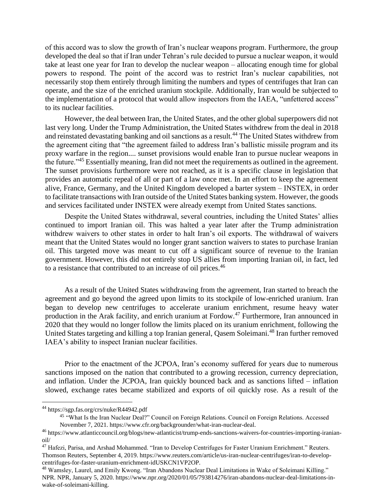of this accord was to slow the growth of Iran's nuclear weapons program. Furthermore, the group developed the deal so that if Iran under Tehran's rule decided to pursue a nuclear weapon, it would take at least one year for Iran to develop the nuclear weapon – allocating enough time for global powers to respond. The point of the accord was to restrict Iran's nuclear capabilities, not necessarily stop them entirely through limiting the numbers and types of centrifuges that Iran can operate, and the size of the enriched uranium stockpile. Additionally, Iran would be subjected to the implementation of a protocol that would allow inspectors from the IAEA, "unfettered access" to its nuclear facilities.

However, the deal between Iran, the United States, and the other global superpowers did not last very long. Under the Trump Administration, the United States withdrew from the deal in 2018 and reinstated devastating banking and oil sanctions as a result.<sup>44</sup> The United States withdrew from the agreement citing that "the agreement failed to address Iran's ballistic missile program and its proxy warfare in the region.... sunset provisions would enable Iran to pursue nuclear weapons in the future."<sup>45</sup> Essentially meaning, Iran did not meet the requirements as outlined in the agreement. The sunset provisions furthermore were not reached, as it is a specific clause in legislation that provides an automatic repeal of all or part of a law once met. In an effort to keep the agreement alive, France, Germany, and the United Kingdom developed a barter system – INSTEX, in order to facilitate transactions with Iran outside of the United States banking system. However, the goods and services facilitated under INSTEX were already exempt from United States sanctions.

Despite the United States withdrawal, several countries, including the United States' allies continued to import Iranian oil. This was halted a year later after the Trump administration withdrew waivers to other states in order to halt Iran's oil exports. The withdrawal of waivers meant that the United States would no longer grant sanction waivers to states to purchase Iranian oil. This targeted move was meant to cut off a significant source of revenue to the Iranian government. However, this did not entirely stop US allies from importing Iranian oil, in fact, led to a resistance that contributed to an increase of oil prices.<sup>46</sup>

As a result of the United States withdrawing from the agreement, Iran started to breach the agreement and go beyond the agreed upon limits to its stockpile of low-enriched uranium. Iran began to develop new centrifuges to accelerate uranium enrichment, resume heavy water production in the Arak facility, and enrich uranium at Fordow.<sup>47</sup> Furthermore, Iran announced in 2020 that they would no longer follow the limits placed on its uranium enrichment, following the United States targeting and killing a top Iranian general, Qasem Soleimani.<sup>48</sup> Iran further removed IAEA's ability to inspect Iranian nuclear facilities.

Prior to the enactment of the JCPOA, Iran's economy suffered for years due to numerous sanctions imposed on the nation that contributed to a growing recession, currency depreciation, and inflation. Under the JCPOA, Iran quickly bounced back and as sanctions lifted – inflation slowed, exchange rates became stabilized and exports of oil quickly rose. As a result of the

<sup>44</sup> https://sgp.fas.org/crs/nuke/R44942.pdf

<sup>&</sup>lt;sup>45</sup> "What Is the Iran Nuclear Deal?" Council on Foreign Relations. Council on Foreign Relations. Accessed November 7, 2021. https://www.cfr.org/backgrounder/what-iran-nuclear-deal.

<sup>46</sup> https://www.atlanticcouncil.org/blogs/new-atlanticist/trump-ends-sanctions-waivers-for-countries-importing-iranianoil/

<sup>&</sup>lt;sup>47</sup> Hafezi, Parisa, and Arshad Mohammed. "Iran to Develop Centrifuges for Faster Uranium Enrichment." Reuters. Thomson Reuters, September 4, 2019. https://www.reuters.com/article/us-iran-nuclear-centrifuges/iran-to-developcentrifuges-for-faster-uranium-enrichment-idUSKCN1VP2OP.

<sup>48</sup> Wamsley, Laurel, and Emily Kwong. "Iran Abandons Nuclear Deal Limitations in Wake of Soleimani Killing." NPR. NPR, January 5, 2020. https://www.npr.org/2020/01/05/793814276/iran-abandons-nuclear-deal-limitations-inwake-of-soleimani-killing.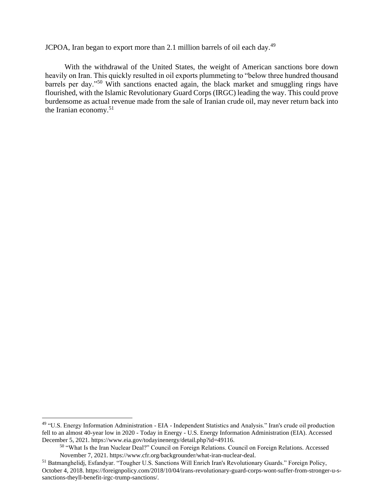JCPOA, Iran began to export more than 2.1 million barrels of oil each day.<sup>49</sup>

With the withdrawal of the United States, the weight of American sanctions bore down heavily on Iran. This quickly resulted in oil exports plummeting to "below three hundred thousand barrels per day."<sup>50</sup> With sanctions enacted again, the black market and smuggling rings have flourished, with the Islamic Revolutionary Guard Corps (IRGC) leading the way. This could prove burdensome as actual revenue made from the sale of Iranian crude oil, may never return back into the Iranian economy.<sup>51</sup>

<sup>&</sup>lt;sup>49</sup> "U.S. Energy Information Administration - EIA - Independent Statistics and Analysis." Iran's crude oil production fell to an almost 40-year low in 2020 - Today in Energy - U.S. Energy Information Administration (EIA). Accessed December 5, 2021. https://www.eia.gov/todayinenergy/detail.php?id=49116.

<sup>&</sup>lt;sup>50</sup> "What Is the Iran Nuclear Deal?" Council on Foreign Relations. Council on Foreign Relations. Accessed November 7, 2021. https://www.cfr.org/backgrounder/what-iran-nuclear-deal.

<sup>51</sup> Batmanghelidj, Esfandyar. "Tougher U.S. Sanctions Will Enrich Iran's Revolutionary Guards." Foreign Policy, October 4, 2018. https://foreignpolicy.com/2018/10/04/irans-revolutionary-guard-corps-wont-suffer-from-stronger-u-ssanctions-theyll-benefit-irgc-trump-sanctions/.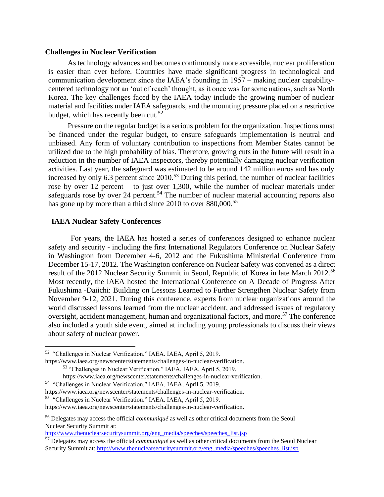#### **Challenges in Nuclear Verification**

As technology advances and becomes continuously more accessible, nuclear proliferation is easier than ever before. Countries have made significant progress in technological and communication development since the IAEA's founding in 1957 – making nuclear capabilitycentered technology not an 'out of reach' thought, as it once was for some nations, such as North Korea. The key challenges faced by the IAEA today include the growing number of nuclear material and facilities under IAEA safeguards, and the mounting pressure placed on a restrictive budget, which has recently been cut.<sup>52</sup>

Pressure on the regular budget is a serious problem for the organization. Inspections must be financed under the regular budget, to ensure safeguards implementation is neutral and unbiased. Any form of voluntary contribution to inspections from Member States cannot be utilized due to the high probability of bias. Therefore, growing cuts in the future will result in a reduction in the number of IAEA inspectors, thereby potentially damaging nuclear verification activities. Last year, the safeguard was estimated to be around 142 million euros and has only increased by only  $6.3$  percent since  $2010$ .<sup>53</sup> During this period, the number of nuclear facilities rose by over 12 percent – to just over 1,300, while the number of nuclear materials under safeguards rose by over 24 percent.<sup>54</sup> The number of nuclear material accounting reports also has gone up by more than a third since 2010 to over 880,000.<sup>55</sup>

## **IAEA Nuclear Safety Conferences**

For years, the IAEA has hosted a series of conferences designed to enhance nuclear safety and security - including the first International Regulators Conference on Nuclear Safety in Washington from December 4-6, 2012 and the Fukushima Ministerial Conference from December 15-17, 2012. The Washington conference on Nuclear Safety was convened as a direct result of the 2012 Nuclear Security Summit in Seoul, Republic of Korea in late March 2012.<sup>56</sup> Most recently, the IAEA hosted the International Conference on A Decade of Progress After Fukushima -Daiichi: Building on Lessons Learned to Further Strengthen Nuclear Safety from November 9-12, 2021. During this conference, experts from nuclear organizations around the world discussed lessons learned from the nuclear accident, and addressed issues of regulatory oversight, accident management, human and organizational factors, and more.<sup>57</sup> The conference also included a youth side event, aimed at including young professionals to discuss their views about safety of nuclear power.

https://www.iaea.org/newscenter/statements/challenges-in-nuclear-verification.

54 "Challenges in Nuclear Verification." IAEA. IAEA, April 5, 2019.

<sup>&</sup>lt;sup>52</sup> "Challenges in Nuclear Verification." IAEA. IAEA, April 5, 2019.

<sup>53</sup> "Challenges in Nuclear Verification." IAEA. IAEA, April 5, 2019.

https://www.iaea.org/newscenter/statements/challenges-in-nuclear-verification.

https://www.iaea.org/newscenter/statements/challenges-in-nuclear-verification.

<sup>55</sup> "Challenges in Nuclear Verification." IAEA. IAEA, April 5, 2019.

https://www.iaea.org/newscenter/statements/challenges-in-nuclear-verification.

<sup>56</sup> Delegates may access the official *communiqué* as well as other critical documents from the Seoul Nuclear Security Summit at:

[http://www.thenuclearsecuritysummit.org/eng\\_media/speeches/speeches\\_list.jsp](http://www.thenuclearsecuritysummit.org/eng_media/speeches/speeches_list.jsp)

<sup>57</sup> Delegates may access the official *communiqué* as well as other critical documents from the Seoul Nuclear Security Summit at: [http://www.thenuclearsecuritysummit.org/eng\\_media/speeches/speeches\\_list.jsp](http://www.thenuclearsecuritysummit.org/eng_media/speeches/speeches_list.jsp)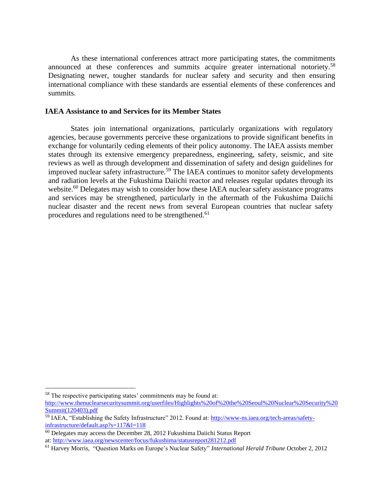As these international conferences attract more participating states, the commitments announced at these conferences and summits acquire greater international notoriety.<sup>58</sup> Designating newer, tougher standards for nuclear safety and security and then ensuring international compliance with these standards are essential elements of these conferences and summits.

#### **IAEA Assistance to and Services for its Member States**

States join international organizations, particularly organizations with regulatory agencies, because governments perceive these organizations to provide significant benefits in exchange for voluntarily ceding elements of their policy autonomy. The IAEA assists member states through its extensive emergency preparedness, engineering, safety, seismic, and site reviews as well as through development and dissemination of safety and design guidelines for improved nuclear safety infrastructure.<sup>59</sup> The IAEA continues to monitor safety developments and radiation levels at the Fukushima Daiichi reactor and releases regular updates through its website.<sup>60</sup> Delegates may wish to consider how these IAEA nuclear safety assistance programs and services may be strengthened, particularly in the aftermath of the Fukushima Daiichi nuclear disaster and the recent news from several European countries that nuclear safety procedures and regulations need to be strengthened.<sup>61</sup>

<sup>58</sup> The respective participating states' commitments may be found at:

[http://www.thenuclearsecuritysummit.org/userfiles/Highlights%20of%20the%20Seoul%20Nuclear%20Security%20](http://www.thenuclearsecuritysummit.org/userfiles/Highlights%20of%20the%20Seoul%20Nuclear%20Security%20Summit(120403).pdf) [Summit\(120403\).pdf](http://www.thenuclearsecuritysummit.org/userfiles/Highlights%20of%20the%20Seoul%20Nuclear%20Security%20Summit(120403).pdf)

<sup>&</sup>lt;sup>59</sup> IAEA, "Establishing the Safety Infrastructure" 2012. Found at: [http://www-ns.iaea.org/tech-areas/safety](http://www-ns.iaea.org/tech-areas/safety-infrastructure/default.asp?s=117&l=118)[infrastructure/default.asp?s=117&l=118](http://www-ns.iaea.org/tech-areas/safety-infrastructure/default.asp?s=117&l=118)

 $\frac{60}{60}$  Delegates may access the December 28, 2012 Fukushima Daiichi Status Report at:<http://www.iaea.org/newscenter/focus/fukushima/statusreport281212.pdf>

<sup>61</sup> Harvey Morris, "Question Marks on Europe's Nuclear Safety" *International Herald Tribune* October 2, 2012